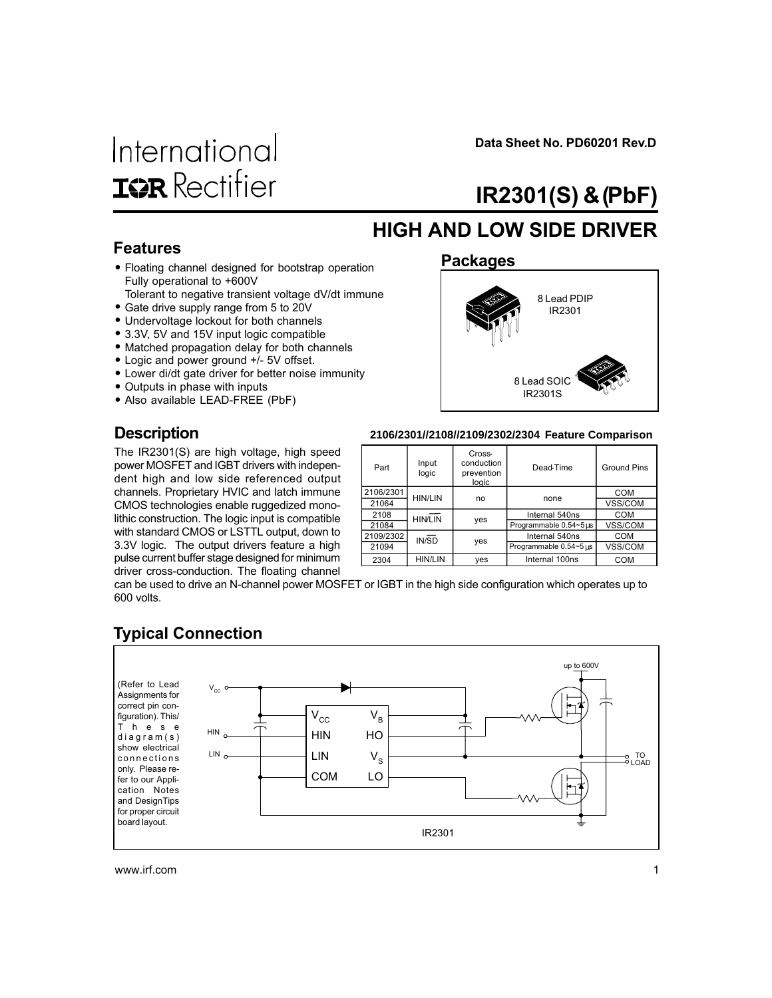# International **ISR** Rectifier

Data Sheet No. PD60201 Rev.D

# IR2301(S) & (PbF)

### HIGH AND LOW SIDE DRIVER

#### Features

- Floating channel designed for bootstrap operation Fully operational to +600V
- Tolerant to negative transient voltage dV/dt immune • Gate drive supply range from 5 to 20V
- Undervoltage lockout for both channels
- 3.3V, 5V and 15V input logic compatible
- Matched propagation delay for both channels
- Logic and power ground +/- 5V offset.
- Lower di/dt gate driver for better noise immunity
- Outputs in phase with inputs

**Description** 

• Also available LEAD-FREE (PbF)

# Packages 8 Lead PDIP IR2301 8 Lead SOIC

IR2301S

#### **2106/2301//2108//2109/2302/2304 Feature Comparison**

The IR2301(S) are high voltage, high speed power MOSFET and IGBT drivers with independent high and low side referenced output channels. Proprietary HVIC and latch immune CMOS technologies enable ruggedized monolithic construction. The logic input is compatible with standard CMOS or LSTTL output, down to 3.3V logic. The output drivers feature a high pulse current buffer stage designed for minimum driver cross-conduction. The floating channel

| Part      | Input<br>logic | Cross-<br>conduction<br>prevention<br>logic | Dead-Time              | <b>Ground Pins</b> |  |
|-----------|----------------|---------------------------------------------|------------------------|--------------------|--|
| 2106/2301 | <b>HIN/LIN</b> | no                                          | none                   | <b>COM</b>         |  |
| 21064     |                |                                             |                        | VSS/COM            |  |
| 2108      | <b>HIN/LIN</b> |                                             | Internal 540ns         | COM                |  |
| 21084     |                | yes                                         | Programmable 0.54~5us  | VSS/COM            |  |
| 2109/2302 | IN/SD          |                                             | Internal 540ns         | <b>COM</b>         |  |
| 21094     |                | yes                                         | Programmable 0.54~5 us | VSS/COM            |  |
| 2304      | <b>HIN/LIN</b> | yes                                         | Internal 100ns         | <b>COM</b>         |  |

can be used to drive an N-channel power MOSFET or IGBT in the high side configuration which operates up to 600 volts.

### Typical Connection

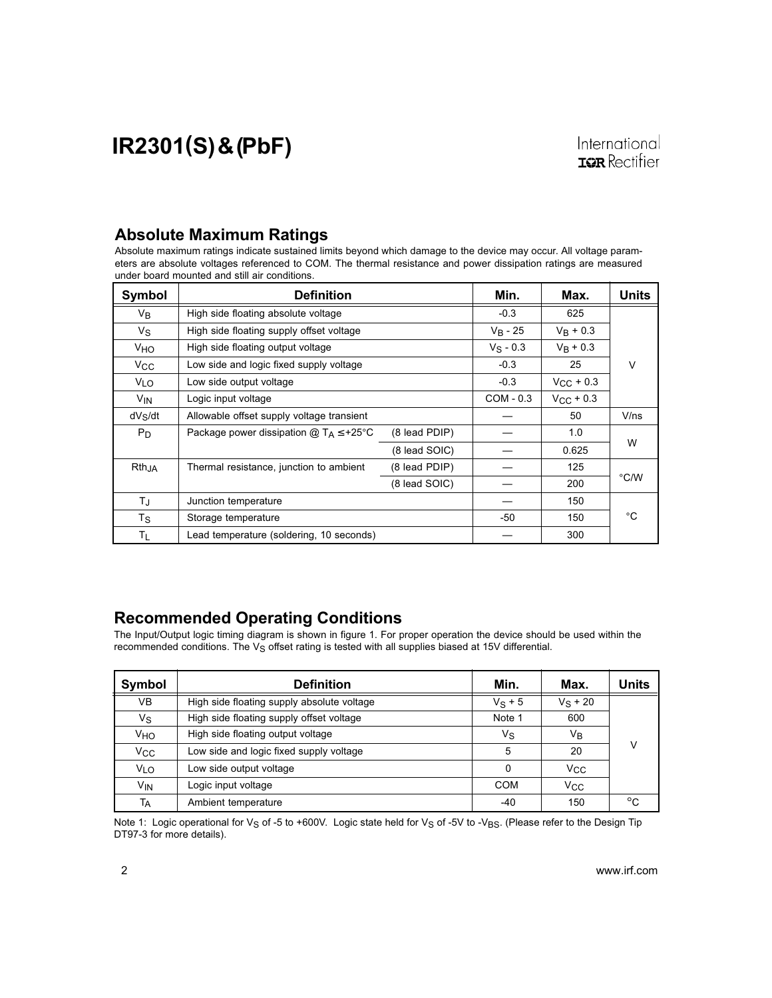#### Absolute Maximum Ratings

Absolute maximum ratings indicate sustained limits beyond which damage to the device may occur. All voltage parameters are absolute voltages referenced to COM. The thermal resistance and power dissipation ratings are measured under board mounted and still air conditions.

| Symbol                | Definition                                                | Min.          | Max.        | Units              |      |
|-----------------------|-----------------------------------------------------------|---------------|-------------|--------------------|------|
| V <sub>B</sub>        | High side floating absolute voltage                       | $-0.3$        | 625         |                    |      |
| Vs                    | High side floating supply offset voltage                  | $V_B - 25$    | $V_B + 0.3$ |                    |      |
| <b>V<sub>HO</sub></b> | High side floating output voltage                         |               | $V_S - 0.3$ | $V_R + 0.3$        |      |
| <b>V<sub>CC</sub></b> | Low side and logic fixed supply voltage                   |               | $-0.3$      | 25                 | v    |
| VLO                   | Low side output voltage                                   |               | $-0.3$      | $V_{\rm CC}$ + 0.3 |      |
| <b>V<sub>IN</sub></b> | Logic input voltage                                       |               | $COM - 0.3$ | $V_{CC}$ + 0.3     |      |
| $dV_S/dt$             | Allowable offset supply voltage transient                 |               |             | 50                 | V/ns |
| P <sub>D</sub>        | Package power dissipation $@$ T <sub>A</sub> $\leq$ +25°C | (8 lead PDIP) |             | 1.0                |      |
|                       |                                                           | (8 lead SOIC) |             | 0.625              | W    |
| $Rth_{,IA}$           | Thermal resistance, junction to ambient                   | (8 lead PDIP) |             | 125                |      |
|                       |                                                           | (8 lead SOIC) |             | 200                | °C/W |
| ТJ                    | Junction temperature                                      |               |             | 150                |      |
| Τs                    | Storage temperature                                       |               | $-50$       | 150                | °C   |
| ΤL                    | Lead temperature (soldering, 10 seconds)                  |               |             | 300                |      |

#### Recommended Operating Conditions

The Input/Output logic timing diagram is shown in figure 1. For proper operation the device should be used within the recommended conditions. The V<sub>S</sub> offset rating is tested with all supplies biased at 15V differential.

| Symbol                | <b>Definition</b>                          | Min.      | Max.         | Units        |
|-----------------------|--------------------------------------------|-----------|--------------|--------------|
| VB                    | High side floating supply absolute voltage | $V_S + 5$ | $V_S + 20$   |              |
| Vs                    | High side floating supply offset voltage   | Note 1    | 600          |              |
| VHO                   | High side floating output voltage          | Vs        | Vв           |              |
| $V_{\rm CC}$          | Low side and logic fixed supply voltage    | 5         | 20           | v            |
| VLO                   | Low side output voltage                    | 0         | Vcc          |              |
| <b>V<sub>IN</sub></b> | Logic input voltage                        | COM       | $V_{\rm CC}$ |              |
| Tд                    | Ambient temperature                        | $-40$     | 150          | $^{\circ}$ C |

Note 1: Logic operational for V<sub>S</sub> of -5 to +600V. Logic state held for V<sub>S</sub> of -5V to -V<sub>BS</sub>. (Please refer to the Design Tip DT97-3 for more details).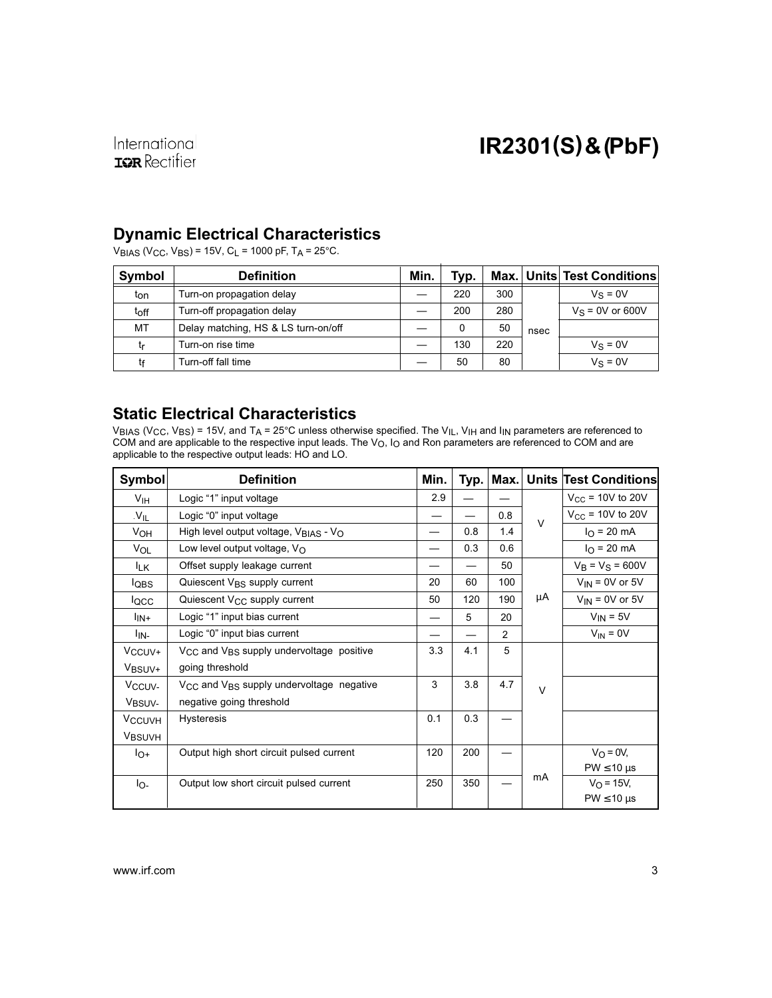#### Dynamic Electrical Characteristics

VBIAS (VCC, VBS) = 15V, CL = 1000 pF, TA = 25°C.

| Symbol | <b>Definition</b>                   | Min. | Typ. |     |      | Max. Units Test Conditions |
|--------|-------------------------------------|------|------|-----|------|----------------------------|
| ton    | Turn-on propagation delay           |      | 220  | 300 |      | $V_S = 0V$                 |
| toff   | Turn-off propagation delay          |      | 200  | 280 |      | $V_S = 0V$ or 600V         |
| MT     | Delay matching, HS & LS turn-on/off |      | 0    | 50  | nsec |                            |
| tr     | Turn-on rise time                   |      | 130  | 220 |      | $V_S = 0V$                 |
| tғ     | Turn-off fall time                  |      | 50   | 80  |      | $V_S = 0V$                 |

#### Static Electrical Characteristics

 $\rm{V_{BIAS}}$  (V $\rm{_{CC}}$ , V $\rm{_{BS}}$ ) = 15V, and T $\rm{_{A}}$  = 25°C unless otherwise specified. The V $\rm{_{IL},}$  V $\rm{_{HI}}$  and I $\rm{_{IN}}$  parameters are referenced to COM and are applicable to the respective input leads. The V<sub>O</sub>, I<sub>O</sub> and Ron parameters are referenced to COM and are applicable to the respective output leads: HO and LO.

| <b>Symbol</b>            | <b>Definition</b>                                                | Min. | Typ. | Max. |        | <b>Units Test Conditions</b> |
|--------------------------|------------------------------------------------------------------|------|------|------|--------|------------------------------|
| $V_{\text{IH}}$          | Logic "1" input voltage                                          | 2.9  |      |      |        | $V_{CC}$ = 10V to 20V        |
| .V <sub>IL</sub>         | Logic "0" input voltage                                          |      |      | 0.8  | $\vee$ | $V_{CC}$ = 10V to 20V        |
| V <sub>OH</sub>          | High level output voltage, $V_{\text{BIAS}}$ - $V_{\text{O}}$    |      | 0.8  | 1.4  |        | $I_{\Omega}$ = 20 mA         |
| VOL                      | Low level output voltage, $V_O$                                  |      | 0.3  | 0.6  |        | $I_{\rm O}$ = 20 mA          |
| <b>ILK</b>               | Offset supply leakage current                                    |      |      | 50   |        | $V_B = V_S = 600V$           |
| <b>IQBS</b>              | Quiescent V <sub>BS</sub> supply current                         | 20   | 60   | 100  |        | $V_{IN}$ = 0V or 5V          |
| locc                     | Quiescent V <sub>CC</sub> supply current                         | 50   | 120  | 190  | μA     | $V_{IN}$ = 0V or 5V          |
| l <sub>IN+</sub>         | Logic "1" input bias current                                     |      | 5    | 20   |        | $V_{IN} = 5V$                |
| l <sub>IN-</sub>         | Logic "0" input bias current                                     |      |      | 2    |        | $V_{IN} = 0V$                |
| V <sub>CCUV</sub> +      | $V_{\text{CC}}$ and $V_{\text{BS}}$ supply undervoltage positive | 3.3  | 4.1  | 5    |        |                              |
| V <sub>BSUV+</sub>       | going threshold                                                  |      |      |      |        |                              |
| V <sub>CCUV-</sub>       | V <sub>CC</sub> and V <sub>BS</sub> supply undervoltage negative | 3    | 3.8  | 4.7  | $\vee$ |                              |
| V <sub>BSUV-</sub>       | negative going threshold                                         |      |      |      |        |                              |
| <b>V<sub>CCUVH</sub></b> | <b>Hysteresis</b>                                                | 0.1  | 0.3  |      |        |                              |
| VBSUVH                   |                                                                  |      |      |      |        |                              |
| lo+                      | Output high short circuit pulsed current                         | 120  | 200  |      |        | $V_O = 0V$                   |
|                          |                                                                  |      |      |      |        | $PW \leq 10 \mu s$           |
| lo-                      | Output low short circuit pulsed current                          | 250  | 350  |      | mA     | $V_O = 15V,$                 |
|                          |                                                                  |      |      |      |        | $PW \leq 10 \mu s$           |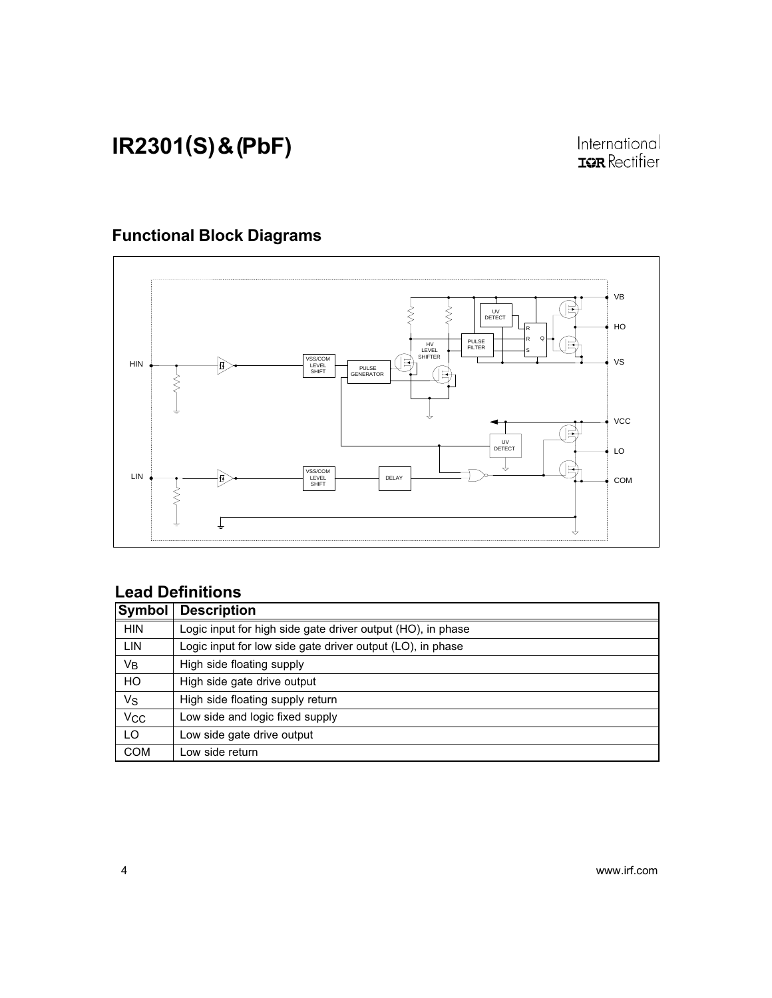#### Functional Block Diagrams



#### Lead Definitions

| Symbol                | <b>Description</b>                                          |
|-----------------------|-------------------------------------------------------------|
| <b>HIN</b>            | Logic input for high side gate driver output (HO), in phase |
| LIN                   | Logic input for low side gate driver output (LO), in phase  |
| $V_B$                 | High side floating supply                                   |
| HO                    | High side gate drive output                                 |
| Vs                    | High side floating supply return                            |
| <b>V<sub>CC</sub></b> | Low side and logic fixed supply                             |
| LO                    | Low side gate drive output                                  |
| <b>COM</b>            | Low side return                                             |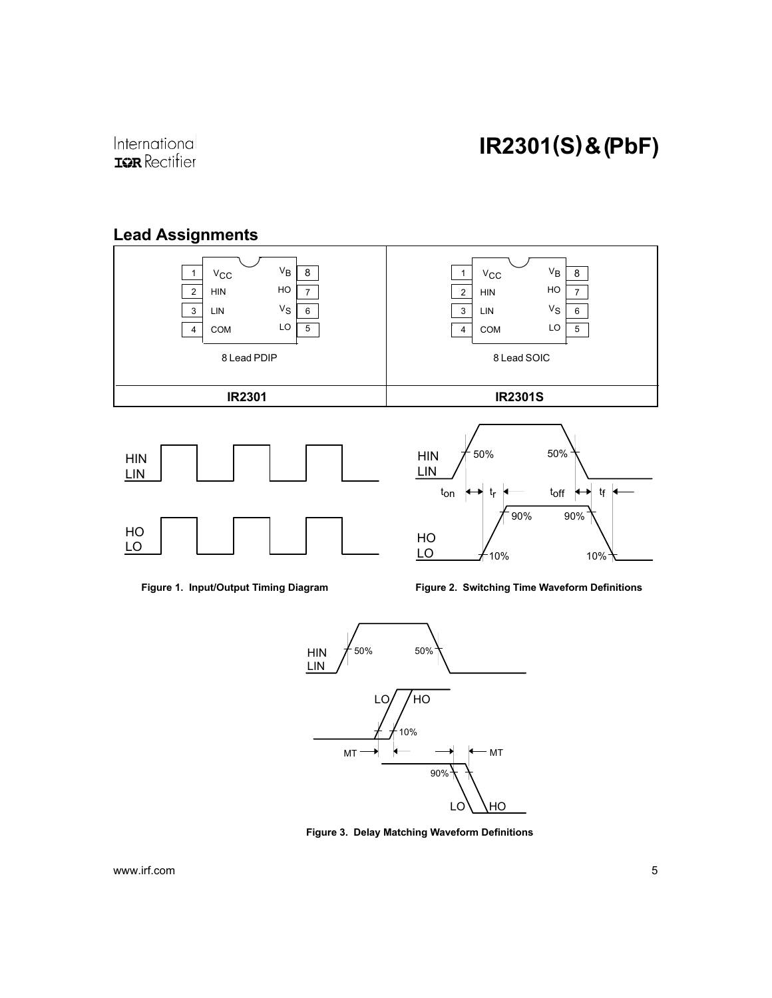#### Lead Assignments





Figure 2. Switching Time Waveform Definitions

 $10\%$   $10\%$ 



 $\underline{\mathsf{LO}}$ 

Figure 3. Delay Matching Waveform Definitions

www.irf.com 5

 $\underline{\mathsf{LO}}$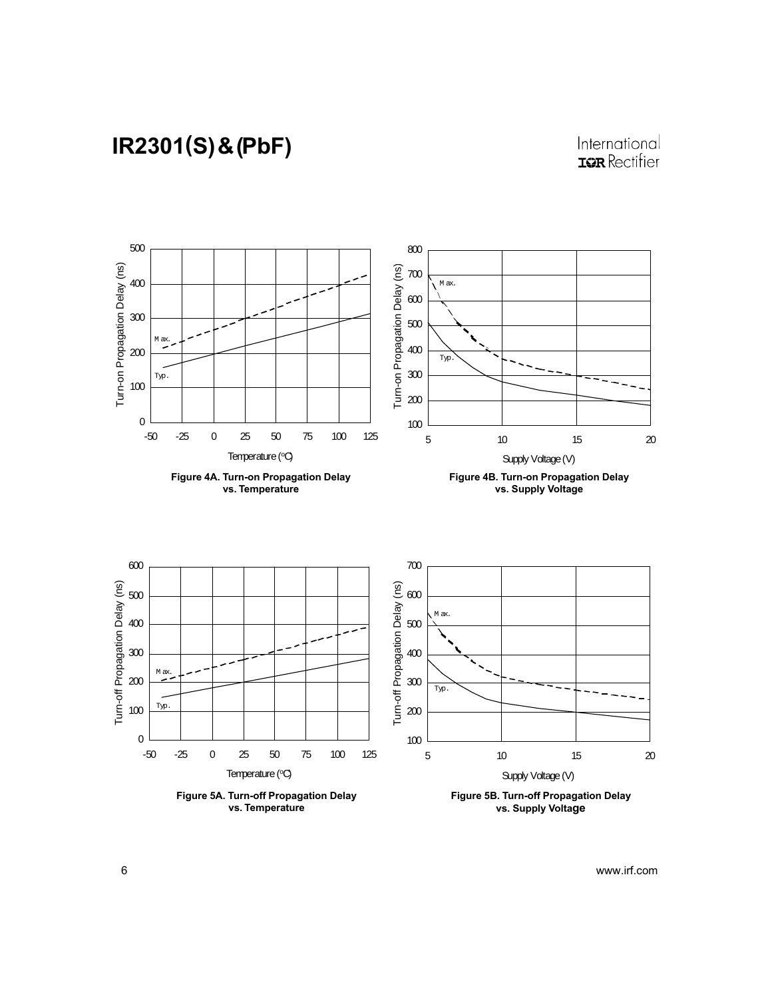#### International **IQR** Rectifier

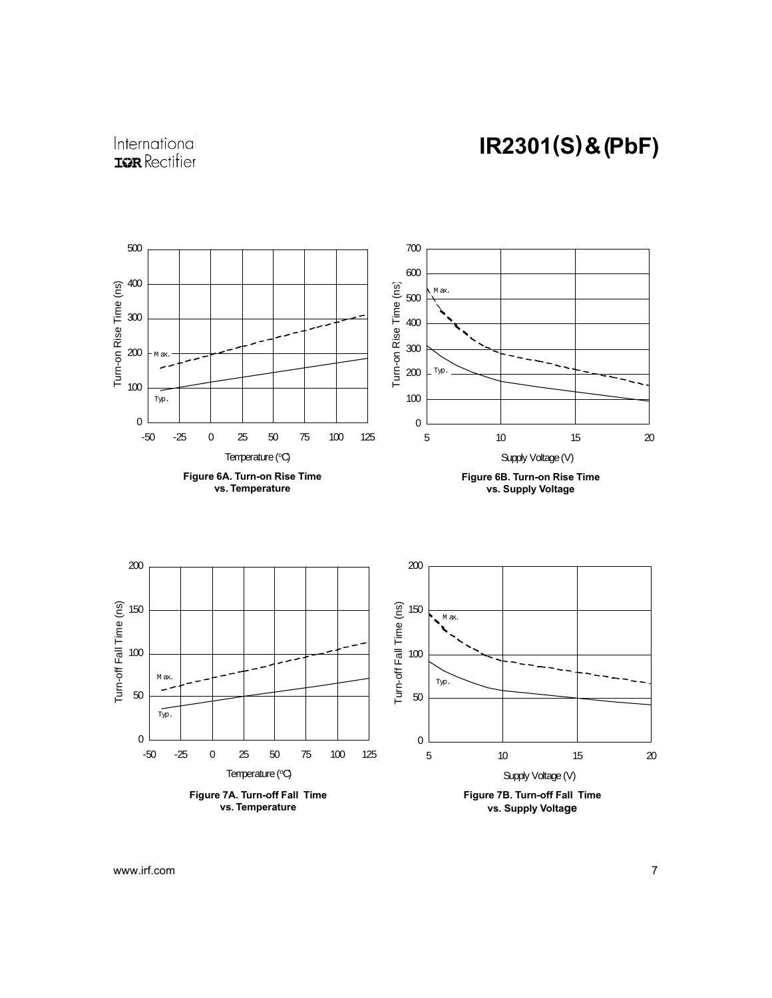

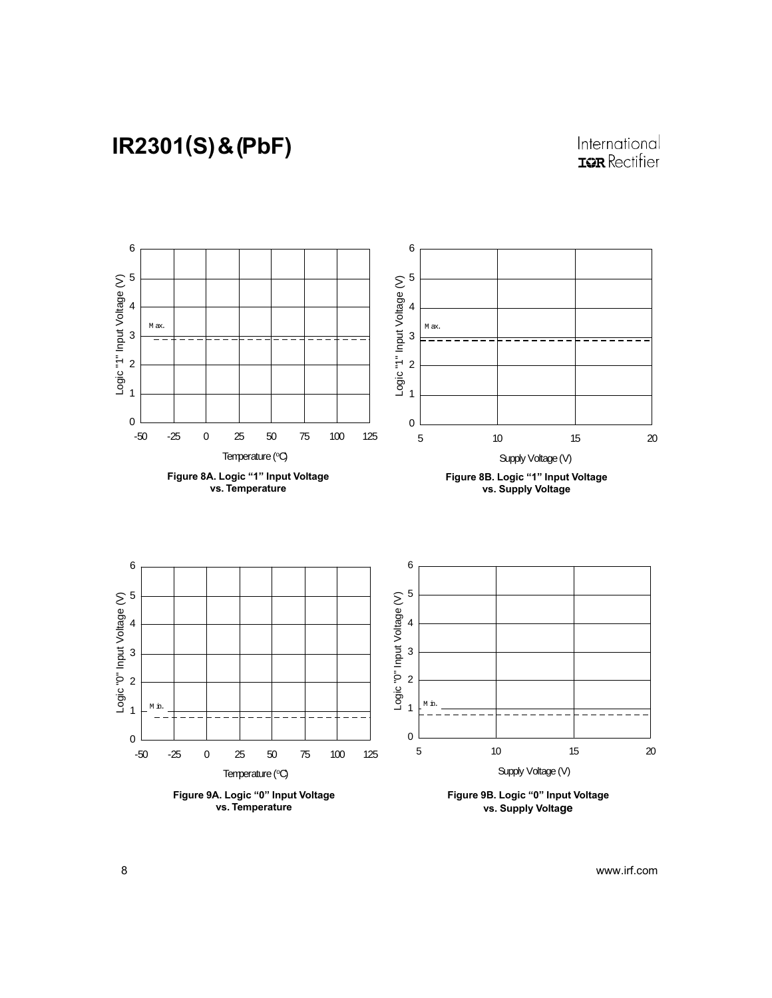#### International **IQR** Rectifier

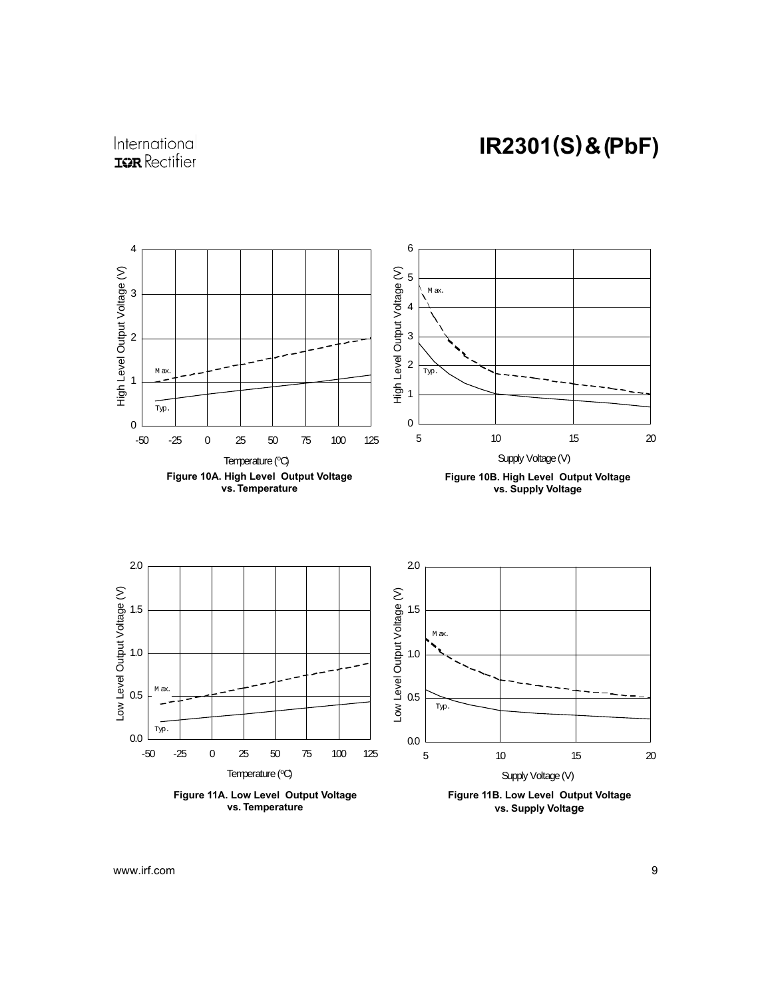

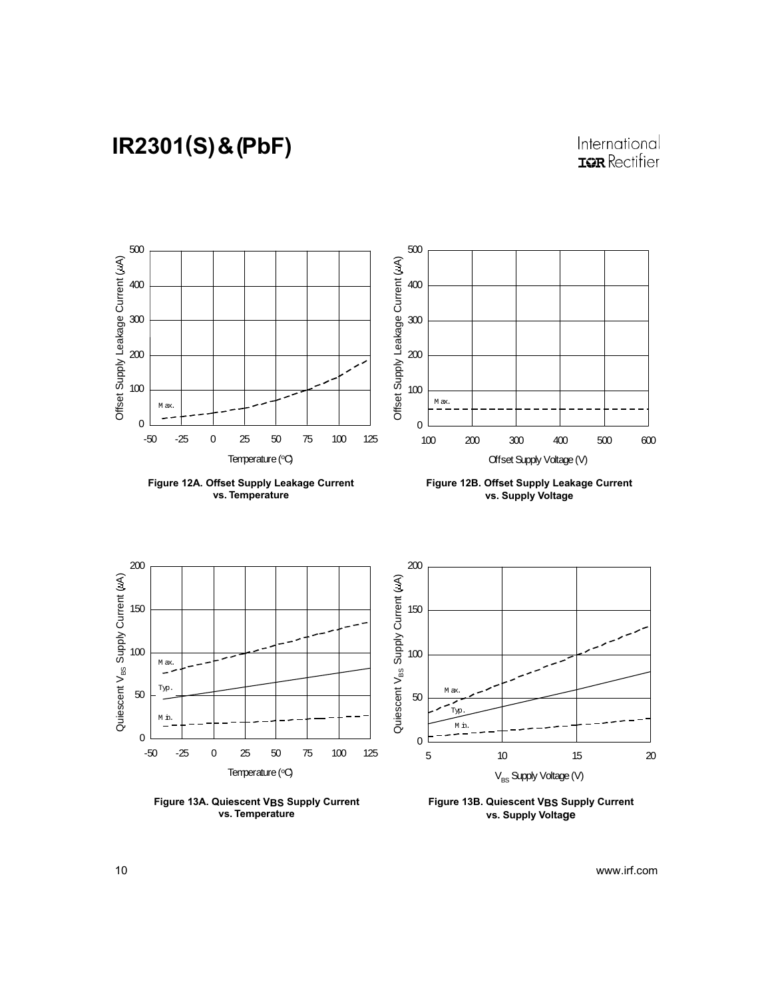#### International **IQR** Rectifier



Figure 13A. Quiescent VBS Supply Current vs. Temperature

Figure 13B. Quiescent VBS Supply Current vs. Supply Voltage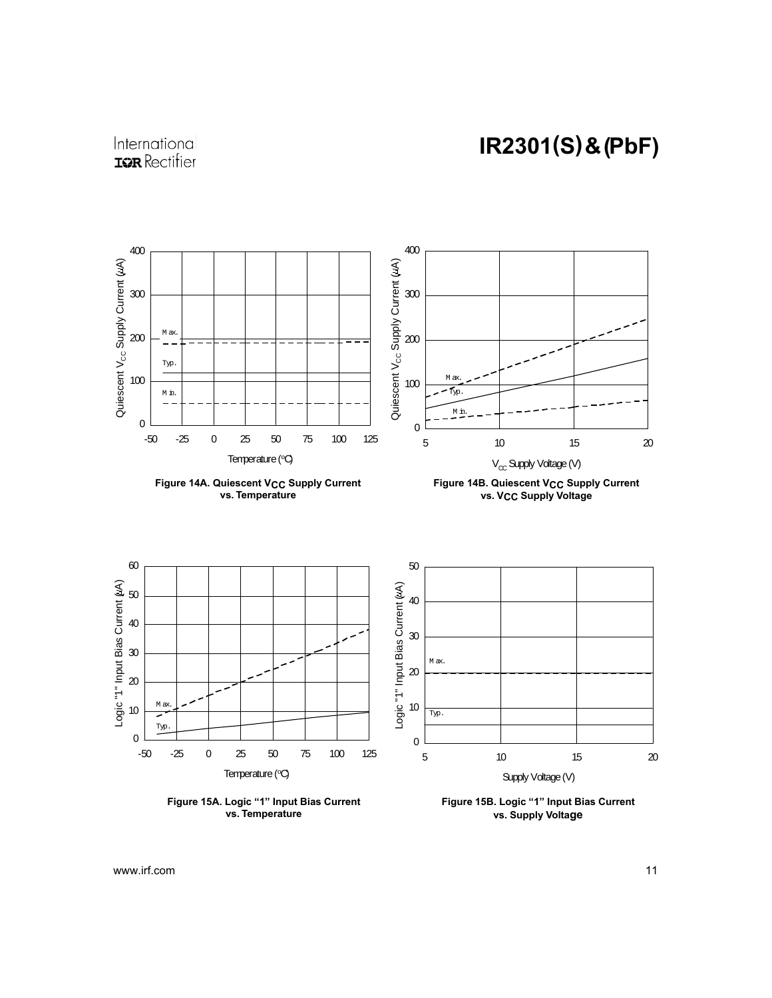





Figure 15B. Logic "1" Input Bias Current vs. Supply Voltage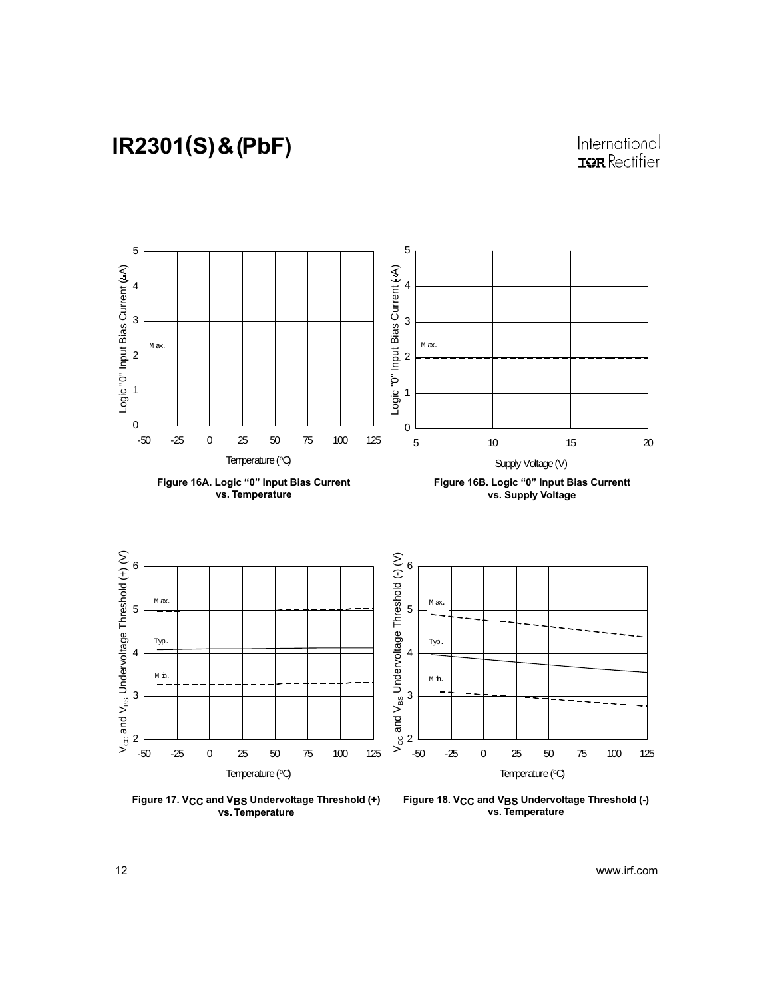

Figure 17. V<sub>CC</sub> and V<sub>BS</sub> Undervoltage Threshold (+) vs. Temperature

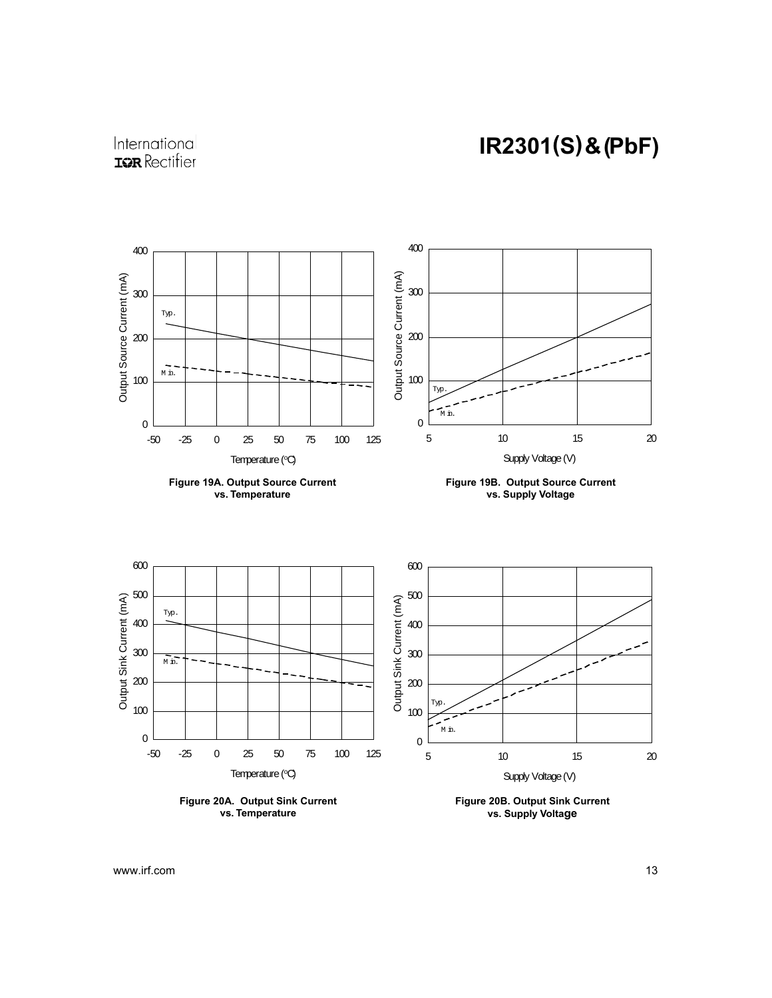International **IQR** Rectifier



vs. Supply Voltage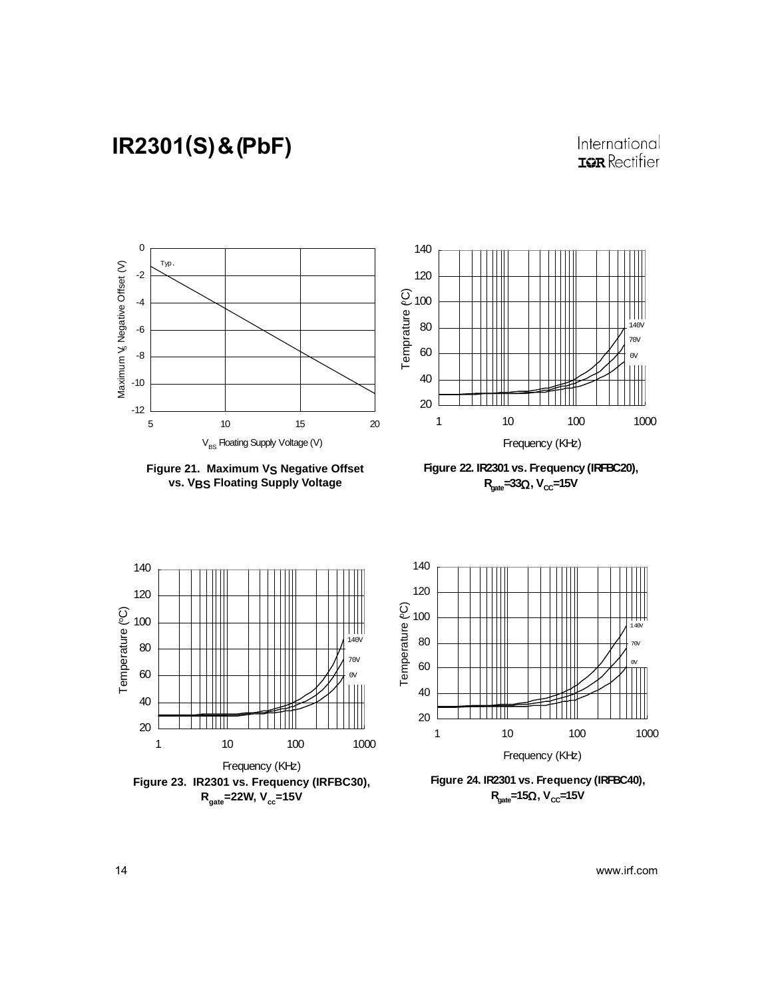#### International **IQR** Rectifier



**Figure 21. Maximum VS Negative Offset vs. VBS Floating Supply Voltage**

**Figure 22. IR2301 vs. Frequency (IRFBC20), R**<sub>cate</sub>=33Ω, V<sub>CC</sub>=15V





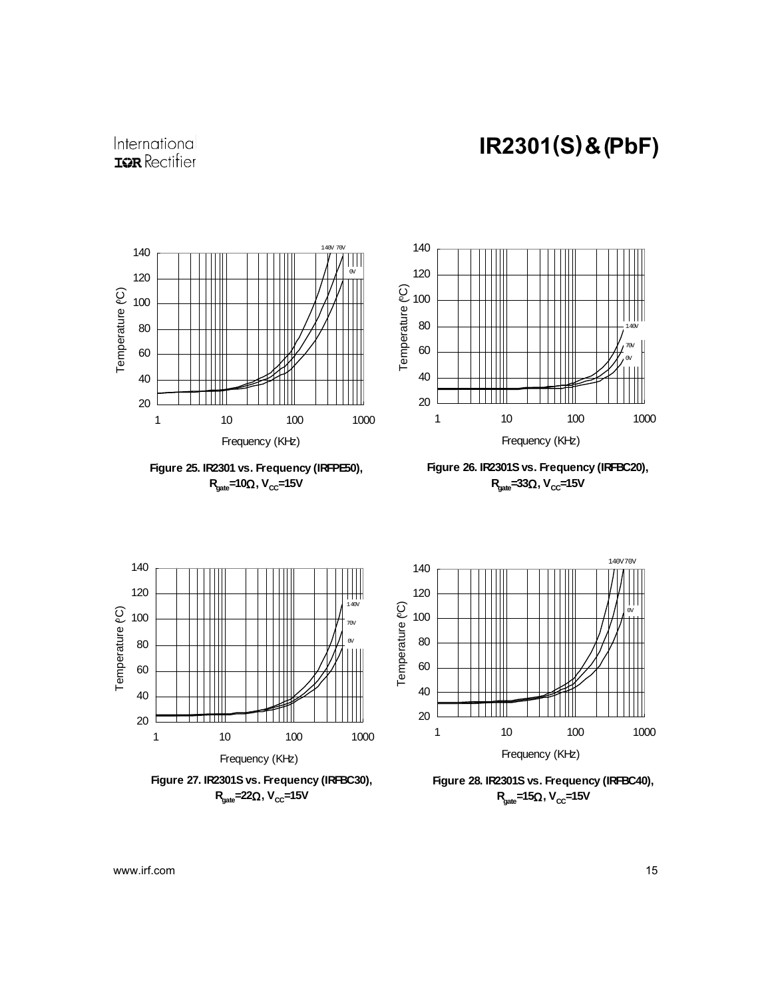#### International **IQR** Rectifier

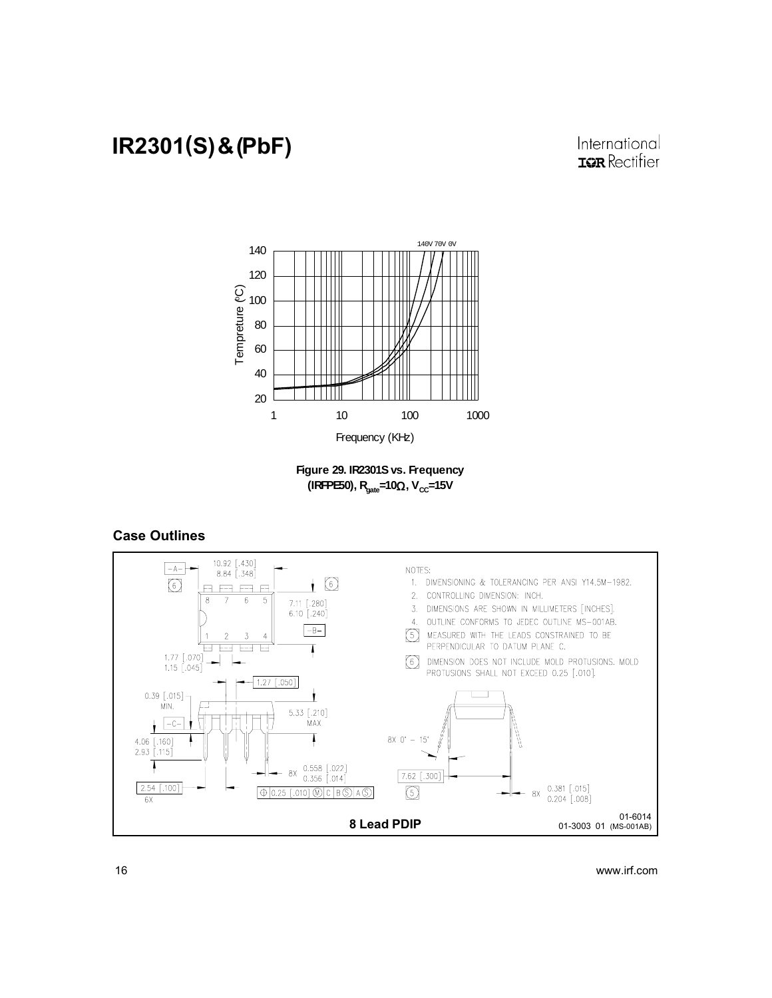International **IGR** Rectifier



**Figure 29. IR2301S vs. Frequency (IRFPE50), R<sub>cate</sub>=10Ω, V<sub>CC</sub>=15V** 

#### Case Outlines

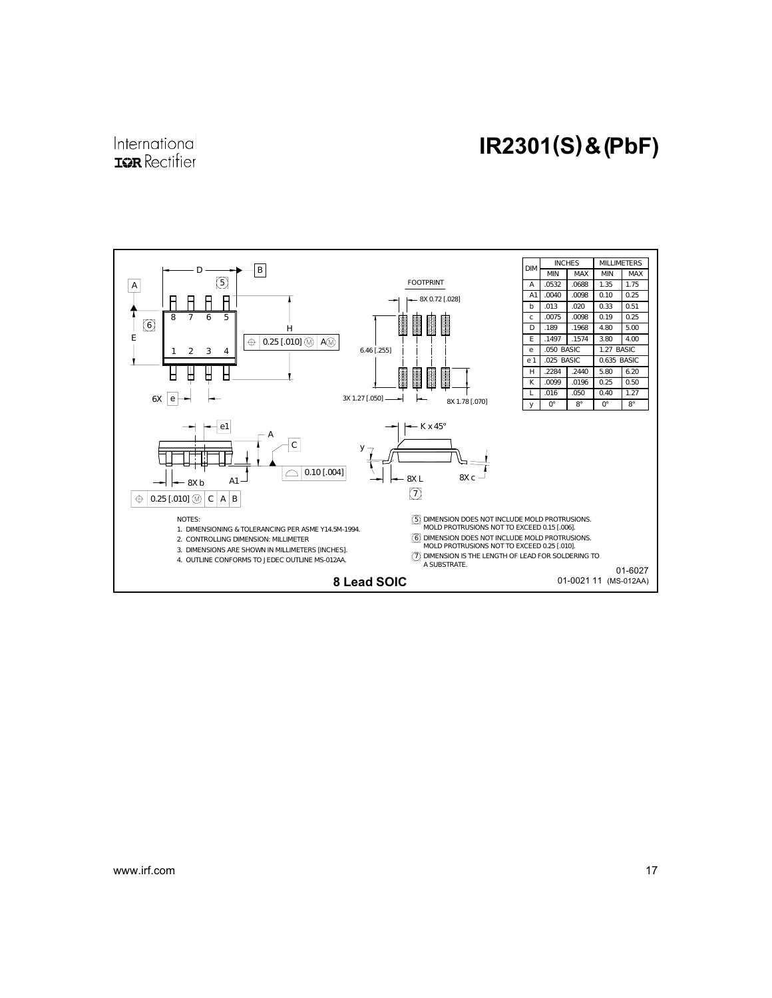#### International **IQR** Rectifier